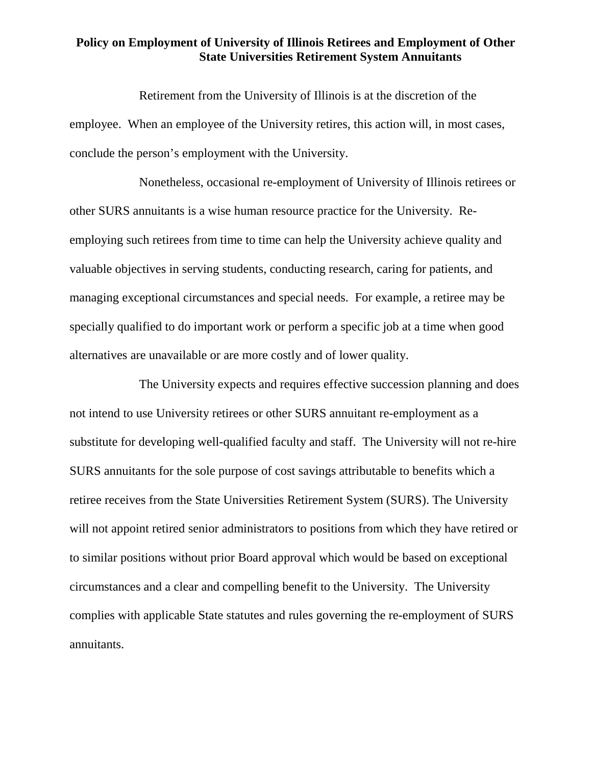## **Policy on Employment of University of Illinois Retirees and Employment of Other State Universities Retirement System Annuitants**

Retirement from the University of Illinois is at the discretion of the employee. When an employee of the University retires, this action will, in most cases, conclude the person's employment with the University.

Nonetheless, occasional re-employment of University of Illinois retirees or other SURS annuitants is a wise human resource practice for the University. Reemploying such retirees from time to time can help the University achieve quality and valuable objectives in serving students, conducting research, caring for patients, and managing exceptional circumstances and special needs. For example, a retiree may be specially qualified to do important work or perform a specific job at a time when good alternatives are unavailable or are more costly and of lower quality.

The University expects and requires effective succession planning and does not intend to use University retirees or other SURS annuitant re-employment as a substitute for developing well-qualified faculty and staff. The University will not re-hire SURS annuitants for the sole purpose of cost savings attributable to benefits which a retiree receives from the State Universities Retirement System (SURS). The University will not appoint retired senior administrators to positions from which they have retired or to similar positions without prior Board approval which would be based on exceptional circumstances and a clear and compelling benefit to the University. The University complies with applicable State statutes and rules governing the re-employment of SURS annuitants.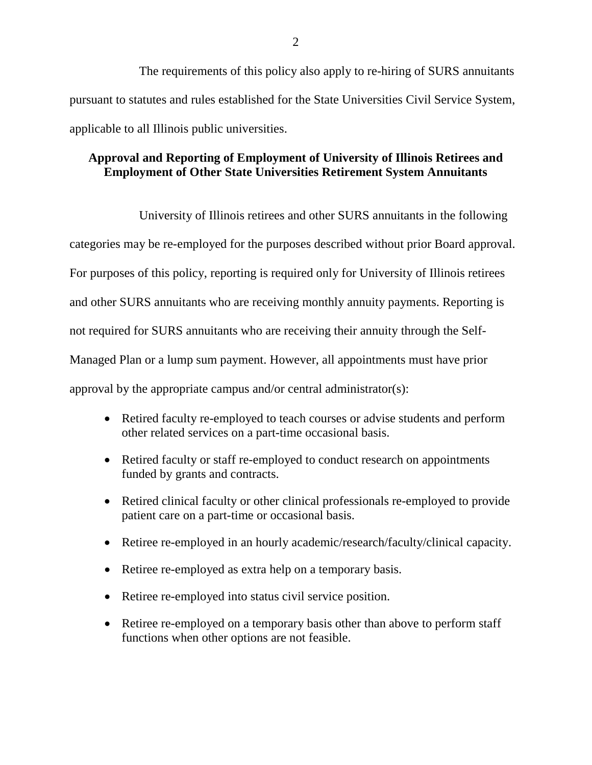The requirements of this policy also apply to re-hiring of SURS annuitants pursuant to statutes and rules established for the State Universities Civil Service System, applicable to all Illinois public universities.

## **Approval and Reporting of Employment of University of Illinois Retirees and Employment of Other State Universities Retirement System Annuitants**

University of Illinois retirees and other SURS annuitants in the following categories may be re-employed for the purposes described without prior Board approval. For purposes of this policy, reporting is required only for University of Illinois retirees and other SURS annuitants who are receiving monthly annuity payments. Reporting is not required for SURS annuitants who are receiving their annuity through the Self-Managed Plan or a lump sum payment. However, all appointments must have prior approval by the appropriate campus and/or central administrator(s):

- Retired faculty re-employed to teach courses or advise students and perform other related services on a part-time occasional basis.
- Retired faculty or staff re-employed to conduct research on appointments funded by grants and contracts.
- Retired clinical faculty or other clinical professionals re-employed to provide patient care on a part-time or occasional basis.
- Retiree re-employed in an hourly academic/research/faculty/clinical capacity.
- Retiree re-employed as extra help on a temporary basis.
- Retiree re-employed into status civil service position.
- Retiree re-employed on a temporary basis other than above to perform staff functions when other options are not feasible.